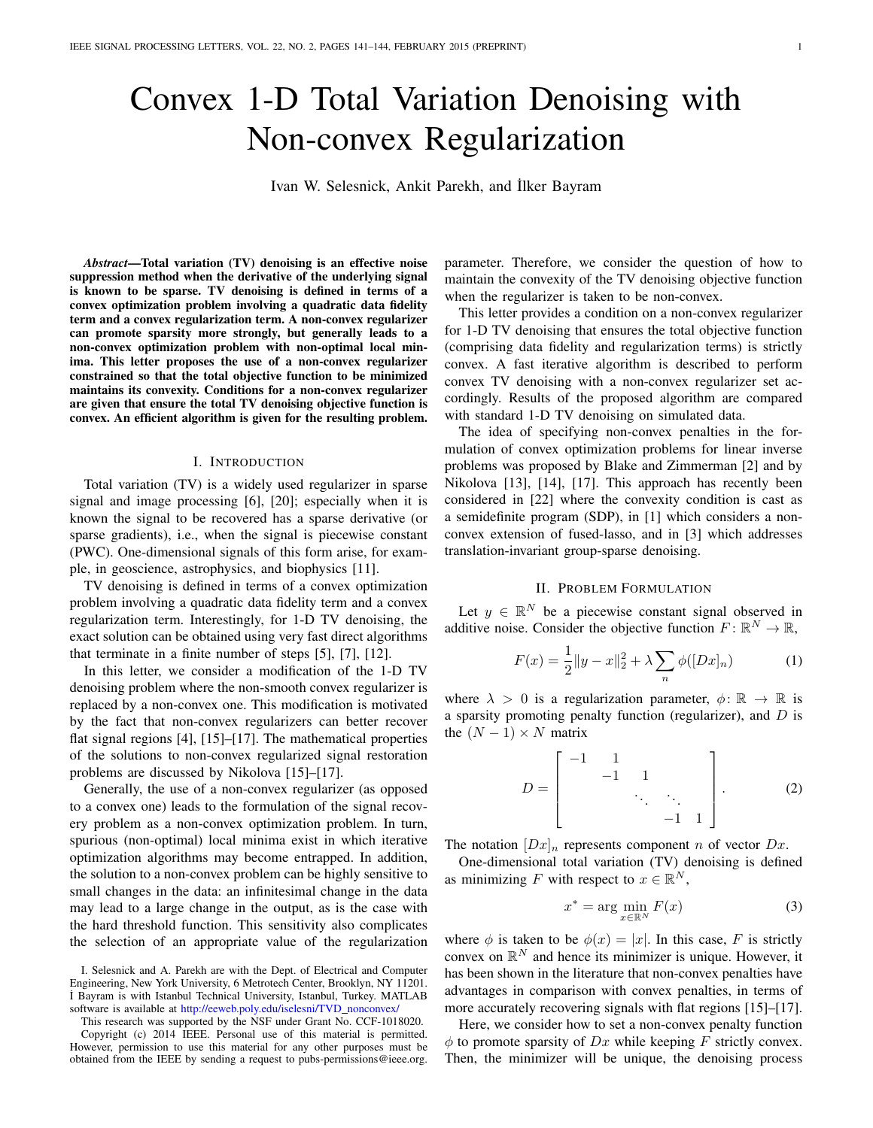# Convex 1-D Total Variation Denoising with Non-convex Regularization

Ivan W. Selesnick, Ankit Parekh, and ˙Ilker Bayram

*Abstract*—Total variation (TV) denoising is an effective noise suppression method when the derivative of the underlying signal is known to be sparse. TV denoising is defined in terms of a convex optimization problem involving a quadratic data fidelity term and a convex regularization term. A non-convex regularizer can promote sparsity more strongly, but generally leads to a non-convex optimization problem with non-optimal local minima. This letter proposes the use of a non-convex regularizer constrained so that the total objective function to be minimized maintains its convexity. Conditions for a non-convex regularizer are given that ensure the total TV denoising objective function is convex. An efficient algorithm is given for the resulting problem.

## I. INTRODUCTION

Total variation (TV) is a widely used regularizer in sparse signal and image processing [\[6\]](#page-3-0), [\[20\]](#page-3-1); especially when it is known the signal to be recovered has a sparse derivative (or sparse gradients), i.e., when the signal is piecewise constant (PWC). One-dimensional signals of this form arise, for example, in geoscience, astrophysics, and biophysics [\[11\]](#page-3-2).

TV denoising is defined in terms of a convex optimization problem involving a quadratic data fidelity term and a convex regularization term. Interestingly, for 1-D TV denoising, the exact solution can be obtained using very fast direct algorithms that terminate in a finite number of steps [\[5\]](#page-3-3), [\[7\]](#page-3-4), [\[12\]](#page-3-5).

In this letter, we consider a modification of the 1-D TV denoising problem where the non-smooth convex regularizer is replaced by a non-convex one. This modification is motivated by the fact that non-convex regularizers can better recover flat signal regions [\[4\]](#page-3-6), [\[15\]](#page-3-7)–[\[17\]](#page-3-8). The mathematical properties of the solutions to non-convex regularized signal restoration problems are discussed by Nikolova [\[15\]](#page-3-7)–[\[17\]](#page-3-8).

Generally, the use of a non-convex regularizer (as opposed to a convex one) leads to the formulation of the signal recovery problem as a non-convex optimization problem. In turn, spurious (non-optimal) local minima exist in which iterative optimization algorithms may become entrapped. In addition, the solution to a non-convex problem can be highly sensitive to small changes in the data: an infinitesimal change in the data may lead to a large change in the output, as is the case with the hard threshold function. This sensitivity also complicates the selection of an appropriate value of the regularization

I. Selesnick and A. Parekh are with the Dept. of Electrical and Computer Engineering, New York University, 6 Metrotech Center, Brooklyn, NY 11201. ˙I Bayram is with Istanbul Technical University, Istanbul, Turkey. MATLAB software is available at [http://eeweb.poly.edu/iselesni/TVD](http://eeweb.poly.edu/iselesni/TVD_nonconvex/)\_nonconvex/

This research was supported by the NSF under Grant No. CCF-1018020. Copyright (c) 2014 IEEE. Personal use of this material is permitted. However, permission to use this material for any other purposes must be obtained from the IEEE by sending a request to pubs-permissions@ieee.org. parameter. Therefore, we consider the question of how to maintain the convexity of the TV denoising objective function when the regularizer is taken to be non-convex.

This letter provides a condition on a non-convex regularizer for 1-D TV denoising that ensures the total objective function (comprising data fidelity and regularization terms) is strictly convex. A fast iterative algorithm is described to perform convex TV denoising with a non-convex regularizer set accordingly. Results of the proposed algorithm are compared with standard 1-D TV denoising on simulated data.

The idea of specifying non-convex penalties in the formulation of convex optimization problems for linear inverse problems was proposed by Blake and Zimmerman [\[2\]](#page-3-9) and by Nikolova [\[13\]](#page-3-10), [\[14\]](#page-3-11), [\[17\]](#page-3-8). This approach has recently been considered in [\[22\]](#page-3-12) where the convexity condition is cast as a semidefinite program (SDP), in [\[1\]](#page-3-13) which considers a nonconvex extension of fused-lasso, and in [\[3\]](#page-3-14) which addresses translation-invariant group-sparse denoising.

## <span id="page-0-0"></span>II. PROBLEM FORMULATION

Let  $y \in \mathbb{R}^N$  be a piecewise constant signal observed in additive noise. Consider the objective function  $F: \mathbb{R}^N \to \mathbb{R}$ ,

$$
F(x) = \frac{1}{2} ||y - x||_2^2 + \lambda \sum_{n} \phi([Dx]_n)
$$
 (1)

where  $\lambda > 0$  is a regularization parameter,  $\phi \colon \mathbb{R} \to \mathbb{R}$  is a sparsity promoting penalty function (regularizer), and  $D$  is the  $(N - 1) \times N$  matrix

$$
D = \begin{bmatrix} -1 & 1 & & & \\ & -1 & 1 & & \\ & & \ddots & \ddots & \\ & & & -1 & 1 \end{bmatrix} .
$$
 (2)

The notation  $[Dx]_n$  represents component n of vector  $Dx$ .

One-dimensional total variation (TV) denoising is defined as minimizing F with respect to  $x \in \mathbb{R}^N$ ,

$$
x^* = \arg\min_{x \in \mathbb{R}^N} F(x) \tag{3}
$$

where  $\phi$  is taken to be  $\phi(x) = |x|$ . In this case, F is strictly convex on  $\mathbb{R}^N$  and hence its minimizer is unique. However, it has been shown in the literature that non-convex penalties have advantages in comparison with convex penalties, in terms of more accurately recovering signals with flat regions [\[15\]](#page-3-7)–[\[17\]](#page-3-8).

Here, we consider how to set a non-convex penalty function  $\phi$  to promote sparsity of Dx while keeping F strictly convex. Then, the minimizer will be unique, the denoising process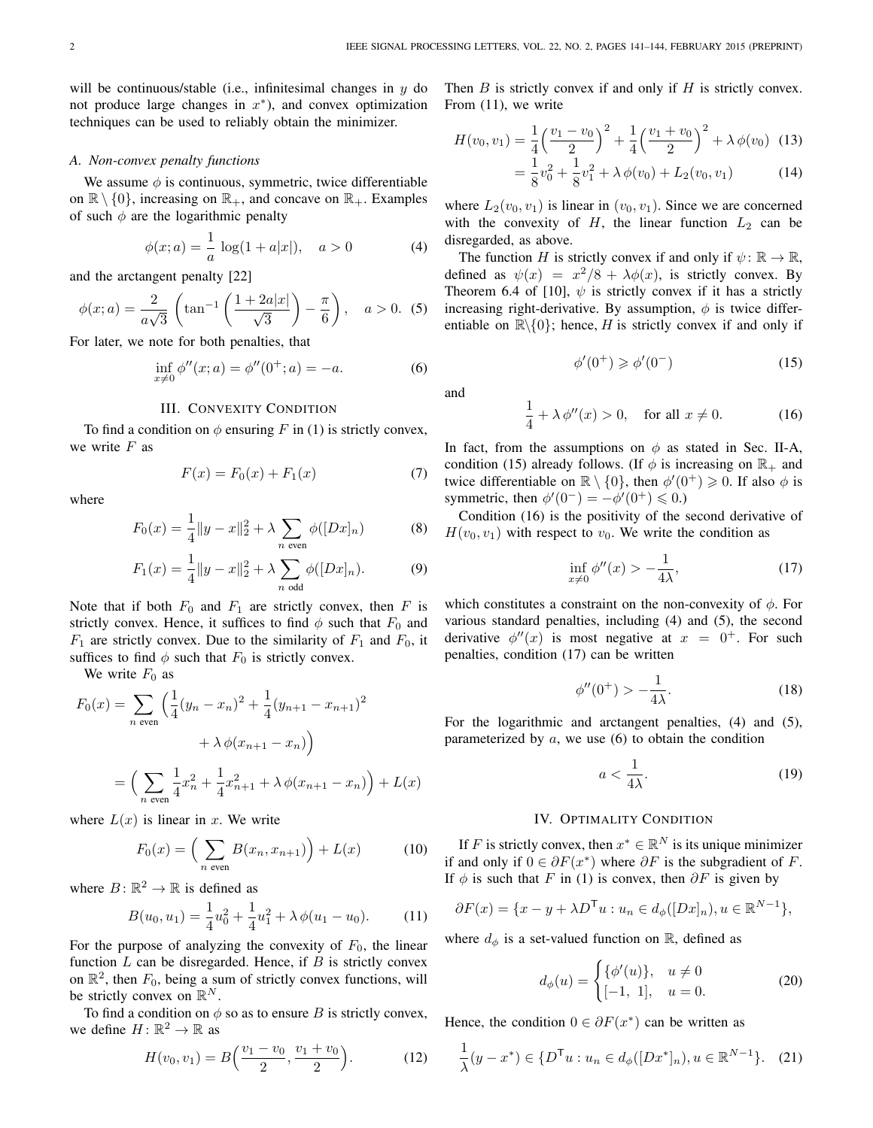will be continuous/stable (i.e., infinitesimal changes in  $y$  do not produce large changes in  $x^*$ ), and convex optimization techniques can be used to reliably obtain the minimizer.

### <span id="page-1-1"></span>*A. Non-convex penalty functions*

We assume  $\phi$  is continuous, symmetric, twice differentiable on  $\mathbb{R} \setminus \{0\}$ , increasing on  $\mathbb{R}_+$ , and concave on  $\mathbb{R}_+$ . Examples of such  $\phi$  are the logarithmic penalty

<span id="page-1-5"></span><span id="page-1-4"></span>
$$
\phi(x;a) = \frac{1}{a}\log(1 + a|x|), \quad a > 0 \tag{4}
$$

and the arctangent penalty [\[22\]](#page-3-12)

$$
\phi(x;a) = \frac{2}{a\sqrt{3}} \left( \tan^{-1} \left( \frac{1+2a|x|}{\sqrt{3}} \right) - \frac{\pi}{6} \right), \quad a > 0. \tag{5}
$$

For later, we note for both penalties, that

$$
\inf_{x \neq 0} \phi''(x; a) = \phi''(0^+; a) = -a. \tag{6}
$$

## III. CONVEXITY CONDITION

To find a condition on  $\phi$  ensuring F in [\(1\)](#page-0-0) is strictly convex, we write  $F$  as

$$
F(x) = F_0(x) + F_1(x)
$$
 (7)

where

$$
F_0(x) = \frac{1}{4} ||y - x||_2^2 + \lambda \sum_{n \text{ even}} \phi([Dx]_n)
$$
 (8)

$$
F_1(x) = \frac{1}{4} ||y - x||_2^2 + \lambda \sum_{n \text{ odd}} \phi([Dx]_n).
$$
 (9)

Note that if both  $F_0$  and  $F_1$  are strictly convex, then F is strictly convex. Hence, it suffices to find  $\phi$  such that  $F_0$  and  $F_1$  are strictly convex. Due to the similarity of  $F_1$  and  $F_0$ , it suffices to find  $\phi$  such that  $F_0$  is strictly convex.

We write  $F_0$  as

$$
F_0(x) = \sum_{n \text{ even}} \left( \frac{1}{4} (y_n - x_n)^2 + \frac{1}{4} (y_{n+1} - x_{n+1})^2 + \lambda \phi(x_{n+1} - x_n) \right)
$$

$$
= \left( \sum_{n \text{ even}} \frac{1}{4} x_n^2 + \frac{1}{4} x_{n+1}^2 + \lambda \phi(x_{n+1} - x_n) \right) + L(x)
$$

where  $L(x)$  is linear in x. We write

<span id="page-1-0"></span>
$$
F_0(x) = \left(\sum_{n \text{ even}} B(x_n, x_{n+1})\right) + L(x) \tag{10}
$$

where  $B: \mathbb{R}^2 \to \mathbb{R}$  is defined as

$$
B(u_0, u_1) = \frac{1}{4}u_0^2 + \frac{1}{4}u_1^2 + \lambda \phi(u_1 - u_0).
$$
 (11)

For the purpose of analyzing the convexity of  $F_0$ , the linear function  $L$  can be disregarded. Hence, if  $B$  is strictly convex on  $\mathbb{R}^2$ , then  $F_0$ , being a sum of strictly convex functions, will be strictly convex on  $\mathbb{R}^N$ .

To find a condition on  $\phi$  so as to ensure B is strictly convex, we define  $H: \mathbb{R}^2 \to \mathbb{R}$  as

$$
H(v_0, v_1) = B\left(\frac{v_1 - v_0}{2}, \frac{v_1 + v_0}{2}\right).
$$
 (12)

Then  $B$  is strictly convex if and only if  $H$  is strictly convex. From [\(11\)](#page-1-0), we write

$$
H(v_0, v_1) = \frac{1}{4} \left(\frac{v_1 - v_0}{2}\right)^2 + \frac{1}{4} \left(\frac{v_1 + v_0}{2}\right)^2 + \lambda \phi(v_0)
$$
 (13)  
=  $\frac{1}{8}v_0^2 + \frac{1}{8}v_1^2 + \lambda \phi(v_0) + L_2(v_0, v_1)$  (14)

 $\frac{1}{8}v_1^2 + \lambda \phi(v_0) + L_2(v_0, v_1)$  (14) where  $L_2(v_0, v_1)$  is linear in  $(v_0, v_1)$ . Since we are concerned with the convexity of  $H$ , the linear function  $L_2$  can be

disregarded, as above. The function H is strictly convex if and only if  $\psi \colon \mathbb{R} \to \mathbb{R}$ , defined as  $\psi(x) = x^2/8 + \lambda \phi(x)$ , is strictly convex. By

<span id="page-1-7"></span><span id="page-1-2"></span>Theorem 6.4 of [\[10\]](#page-3-15),  $\psi$  is strictly convex if it has a strictly increasing right-derivative. By assumption,  $\phi$  is twice differentiable on  $\mathbb{R}\setminus\{0\}$ ; hence, H is strictly convex if and only if

$$
\phi'(0^+) \geq \phi'(0^-) \tag{15}
$$

<span id="page-1-3"></span>and

$$
\frac{1}{4} + \lambda \phi''(x) > 0, \quad \text{for all } x \neq 0.
$$
 (16)

In fact, from the assumptions on  $\phi$  as stated in Sec. [II-A,](#page-1-1) condition [\(15\)](#page-1-2) already follows. (If  $\phi$  is increasing on  $\mathbb{R}_+$  and twice differentiable on  $\mathbb{R} \setminus \{0\}$ , then  $\phi'(0^+) \geq 0$ . If also  $\phi$  is symmetric, then  $\phi'(0^-) = -\phi'(0^+) \leq 0.$ 

Condition [\(16\)](#page-1-3) is the positivity of the second derivative of  $H(v_0, v_1)$  with respect to  $v_0$ . We write the condition as

<span id="page-1-6"></span>
$$
\inf_{x\neq 0} \phi''(x) > -\frac{1}{4\lambda},\tag{17}
$$

which constitutes a constraint on the non-convexity of  $\phi$ . For various standard penalties, including [\(4\)](#page-1-4) and [\(5\)](#page-1-5), the second derivative  $\phi''(x)$  is most negative at  $x = 0^+$ . For such penalties, condition [\(17\)](#page-1-6) can be written

$$
\phi''(0^+) > -\frac{1}{4\lambda}.\tag{18}
$$

For the logarithmic and arctangent penalties, [\(4\)](#page-1-4) and [\(5\)](#page-1-5), parameterized by  $a$ , we use  $(6)$  to obtain the condition

$$
a < \frac{1}{4\lambda}.\tag{19}
$$

## IV. OPTIMALITY CONDITION

If F is strictly convex, then  $x^* \in \mathbb{R}^N$  is its unique minimizer if and only if  $0 \in \partial F(x^*)$  where  $\partial F$  is the subgradient of F. If  $\phi$  is such that F in [\(1\)](#page-0-0) is convex, then  $\partial F$  is given by

$$
\partial F(x) = \{x - y + \lambda D^{\mathsf{T}} u : u_n \in d_{\phi}([Dx]_n), u \in \mathbb{R}^{N-1}\},\
$$

where  $d_{\phi}$  is a set-valued function on R, defined as

<span id="page-1-8"></span>
$$
d_{\phi}(u) = \begin{cases} {\phi'(u)}, & u \neq 0 \\ [-1, 1], & u = 0. \end{cases}
$$
 (20)

Hence, the condition  $0 \in \partial F(x^*)$  can be written as

$$
\frac{1}{\lambda}(y - x^*) \in \{D^{\mathsf{T}}u : u_n \in d_{\phi}([Dx^*]_n), u \in \mathbb{R}^{N-1}\}.
$$
 (21)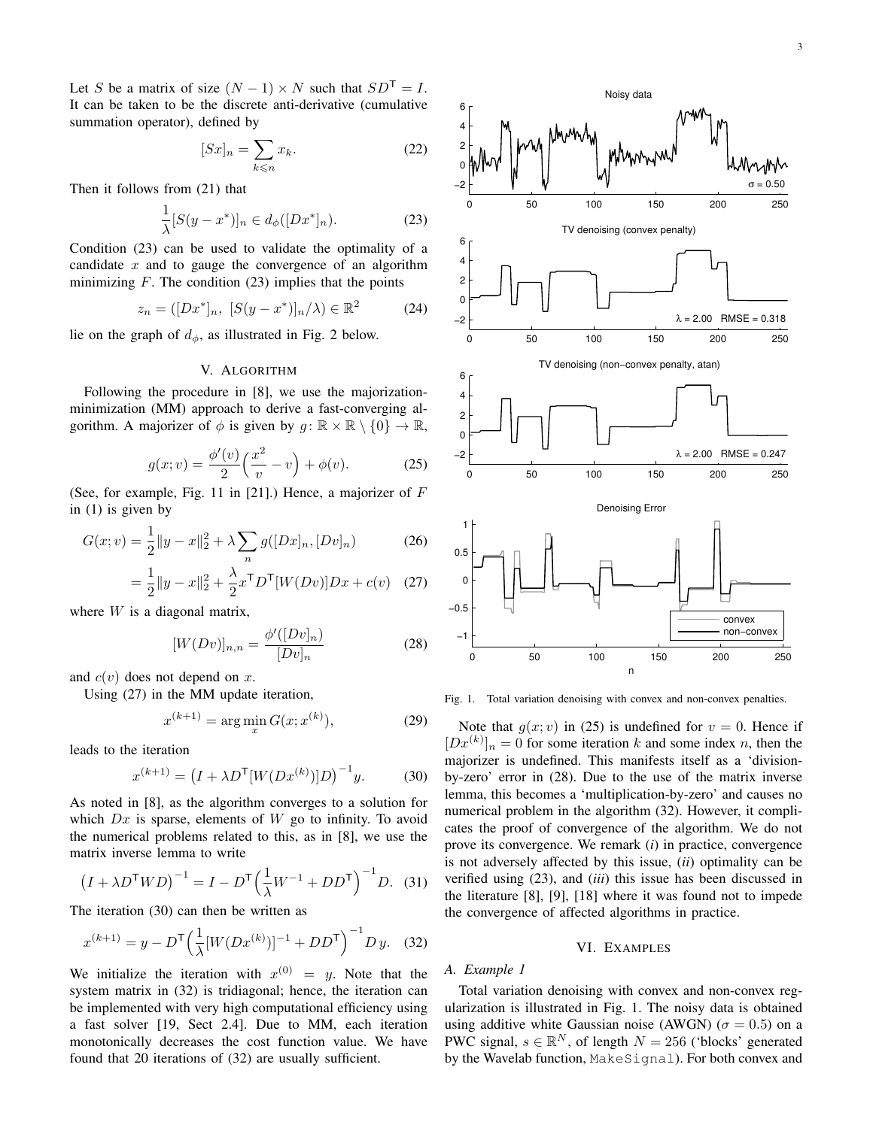Let S be a matrix of size  $(N - 1) \times N$  such that  $SD^{\mathsf{T}} = I$ . It can be taken to be the discrete anti-derivative (cumulative summation operator), defined by

<span id="page-2-0"></span>
$$
[Sx]_n = \sum_{k \le n} x_k. \tag{22}
$$

Then it follows from [\(21\)](#page-1-8) that

$$
\frac{1}{\lambda}[S(y - x^*)]_n \in d_{\phi}([Dx^*]_n). \tag{23}
$$

Condition [\(23\)](#page-2-0) can be used to validate the optimality of a candidate  $x$  and to gauge the convergence of an algorithm minimizing  $F$ . The condition [\(23\)](#page-2-0) implies that the points

$$
z_n = ([Dx^*]_n, [S(y - x^*)]_n / \lambda) \in \mathbb{R}^2
$$
 (24)

lie on the graph of  $d_{\phi}$ , as illustrated in Fig. [2](#page-3-16) below.

# V. ALGORITHM

<span id="page-2-4"></span>Following the procedure in [\[8\]](#page-3-17), we use the majorizationminimization (MM) approach to derive a fast-converging algorithm. A majorizer of  $\phi$  is given by  $q : \mathbb{R} \times \mathbb{R} \setminus \{0\} \to \mathbb{R}$ ,

$$
g(x; v) = \frac{\phi'(v)}{2} \left(\frac{x^2}{v} - v\right) + \phi(v).
$$
 (25)

(See, for example, Fig. 11 in [\[21\]](#page-3-18).) Hence, a majorizer of  $F$ in [\(1\)](#page-0-0) is given by

$$
G(x; v) = \frac{1}{2} ||y - x||_2^2 + \lambda \sum_{n} g([Dx]_n, [Dv]_n)
$$
 (26)

$$
= \frac{1}{2} ||y - x||_2^2 + \frac{\lambda}{2} x^{\mathsf{T}} D^{\mathsf{T}} [W(Dv)] Dx + c(v) \quad (27)
$$

where  $W$  is a diagonal matrix,

<span id="page-2-5"></span>
$$
[W(Dv)]_{n,n} = \frac{\phi'([Dv]_n)}{[Dv]_n}
$$
 (28)

and  $c(v)$  does not depend on x.

Using [\(27\)](#page-2-1) in the MM update iteration,

<span id="page-2-2"></span>
$$
x^{(k+1)} = \arg\min_{x} G(x; x^{(k)}),
$$
 (29)

leads to the iteration

$$
x^{(k+1)} = (I + \lambda D^{\mathsf{T}}[W(Dx^{(k)})]D)^{-1}y.
$$
 (30)

As noted in [\[8\]](#page-3-17), as the algorithm converges to a solution for which  $Dx$  is sparse, elements of W go to infinity. To avoid the numerical problems related to this, as in [\[8\]](#page-3-17), we use the matrix inverse lemma to write

$$
\left(I + \lambda D^{\mathsf{T}}WD\right)^{-1} = I - D^{\mathsf{T}} \left(\frac{1}{\lambda}W^{-1} + DD^{\mathsf{T}}\right)^{-1} D. \tag{31}
$$

The iteration [\(30\)](#page-2-2) can then be written as

$$
x^{(k+1)} = y - D^{\mathsf{T}} \left( \frac{1}{\lambda} [W(Dx^{(k)})]^{-1} + DD^{\mathsf{T}} \right)^{-1} D y. \tag{32}
$$

We initialize the iteration with  $x^{(0)} = y$ . Note that the system matrix in [\(32\)](#page-2-3) is tridiagonal; hence, the iteration can be implemented with very high computational efficiency using a fast solver [\[19,](#page-3-19) Sect 2.4]. Due to MM, each iteration monotonically decreases the cost function value. We have found that 20 iterations of [\(32\)](#page-2-3) are usually sufficient.





<span id="page-2-6"></span><span id="page-2-1"></span>Fig. 1. Total variation denoising with convex and non-convex penalties.

Note that  $g(x; v)$  in [\(25\)](#page-2-4) is undefined for  $v = 0$ . Hence if  $[Dx^{(k)}]_n = 0$  for some iteration k and some index n, then the majorizer is undefined. This manifests itself as a 'divisionby-zero' error in [\(28\)](#page-2-5). Due to the use of the matrix inverse lemma, this becomes a 'multiplication-by-zero' and causes no numerical problem in the algorithm [\(32\)](#page-2-3). However, it complicates the proof of convergence of the algorithm. We do not prove its convergence. We remark (*i*) in practice, convergence is not adversely affected by this issue, (*ii*) optimality can be verified using [\(23\)](#page-2-0), and (*iii*) this issue has been discussed in the literature [\[8\]](#page-3-17), [\[9\]](#page-3-20), [\[18\]](#page-3-21) where it was found not to impede the convergence of affected algorithms in practice.

## VI. EXAMPLES

# <span id="page-2-3"></span>*A. Example 1*

Total variation denoising with convex and non-convex regularization is illustrated in Fig. [1.](#page-2-6) The noisy data is obtained using additive white Gaussian noise (AWGN) ( $\sigma = 0.5$ ) on a PWC signal,  $s \in \mathbb{R}^N$ , of length  $N = 256$  ('blocks' generated by the Wavelab function, MakeSignal). For both convex and